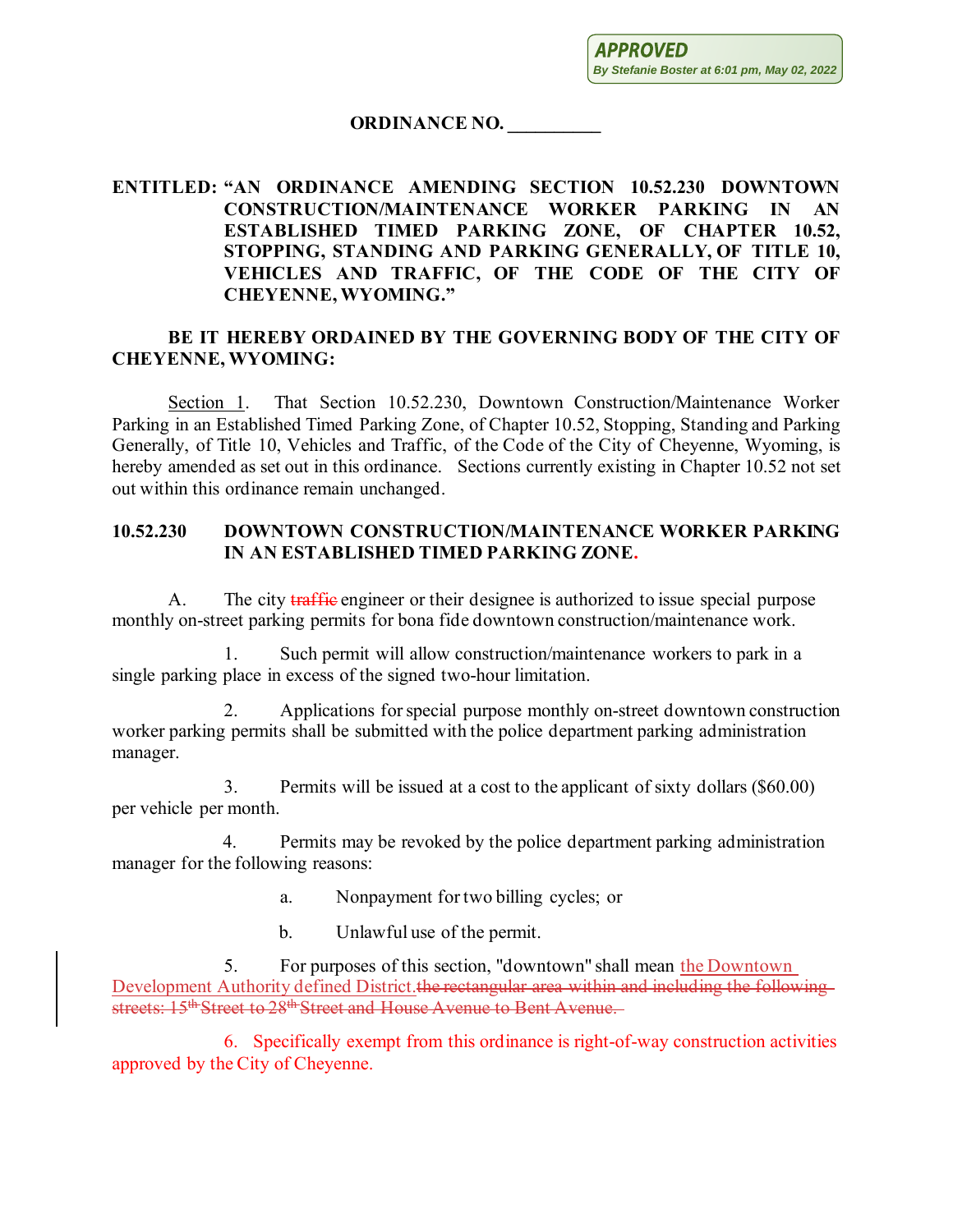**APPROVED By Stefanie Boster at 6:01 pm, May 02, 2022**

## **ORDINANCE NO. \_\_\_\_\_\_\_\_\_\_**

## **ENTITLED: "AN ORDINANCE AMENDING SECTION 10.52.230 DOWNTOWN CONSTRUCTION/MAINTENANCE WORKER PARKING IN AN ESTABLISHED TIMED PARKING ZONE, OF CHAPTER 10.52, STOPPING, STANDING AND PARKING GENERALLY, OF TITLE 10, VEHICLES AND TRAFFIC, OF THE CODE OF THE CITY OF CHEYENNE, WYOMING."**

## **BE IT HEREBY ORDAINED BY THE GOVERNING BODY OF THE CITY OF CHEYENNE, WYOMING:**

Section 1. That Section 10.52.230, Downtown Construction/Maintenance Worker Parking in an Established Timed Parking Zone, of Chapter 10.52, Stopping, Standing and Parking Generally, of Title 10, Vehicles and Traffic, of the Code of the City of Cheyenne, Wyoming, is hereby amended as set out in this ordinance. Sections currently existing in Chapter 10.52 not set out within this ordinance remain unchanged.

## **10.52.230 DOWNTOWN CONSTRUCTION/MAINTENANCE WORKER PARKING IN AN ESTABLISHED TIMED PARKING ZONE.**

A. The city traffic engineer or their designee is authorized to issue special purpose monthly on-street parking permits for bona fide downtown construction/maintenance work.

1. Such permit will allow construction/maintenance workers to park in a single parking place in excess of the signed two-hour limitation.

2. Applications for special purpose monthly on-street downtown construction worker parking permits shall be submitted with the police department parking administration manager.

3. Permits will be issued at a cost to the applicant of sixty dollars (\$60.00) per vehicle per month.

4. Permits may be revoked by the police department parking administration manager for the following reasons:

a. Nonpayment for two billing cycles; or

b. Unlawful use of the permit.

5. For purposes of this section, "downtown" shall mean the Downtown Development Authority defined District.the rectangular area within and including the following streets: 15<sup>th</sup> Street to 28<sup>th</sup> Street and House Avenue to Bent Avenue.

6. Specifically exempt from this ordinance is right-of-way construction activities approved by the City of Cheyenne.